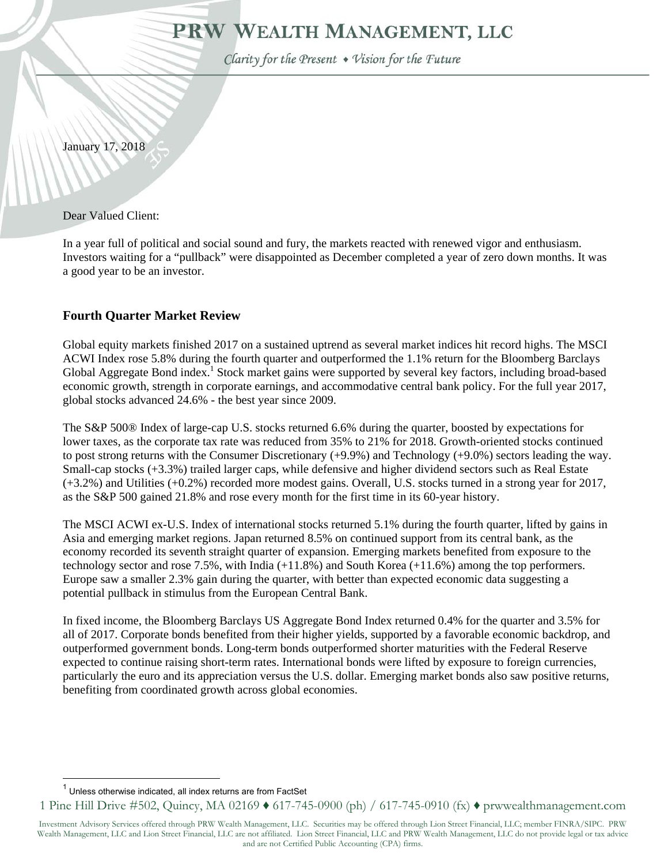# PRW WEALTH MANAGEMENT, LLC

Clarity for the Present . Vision for the Future

January 17, 2018

Dear Valued Client:

In a year full of political and social sound and fury, the markets reacted with renewed vigor and enthusiasm. Investors waiting for a "pullback" were disappointed as December completed a year of zero down months. It was a good year to be an investor.

## **Fourth Quarter Market Review**

Global equity markets finished 2017 on a sustained uptrend as several market indices hit record highs. The MSCI ACWI Index rose 5.8% during the fourth quarter and outperformed the 1.1% return for the Bloomberg Barclays Global Aggregate Bond index.<sup>1</sup> Stock market gains were supported by several key factors, including broad-based economic growth, strength in corporate earnings, and accommodative central bank policy. For the full year 2017, global stocks advanced 24.6% - the best year since 2009.

The S&P 500® Index of large-cap U.S. stocks returned 6.6% during the quarter, boosted by expectations for lower taxes, as the corporate tax rate was reduced from 35% to 21% for 2018. Growth-oriented stocks continued to post strong returns with the Consumer Discretionary (+9.9%) and Technology (+9.0%) sectors leading the way. Small-cap stocks (+3.3%) trailed larger caps, while defensive and higher dividend sectors such as Real Estate (+3.2%) and Utilities (+0.2%) recorded more modest gains. Overall, U.S. stocks turned in a strong year for 2017, as the S&P 500 gained 21.8% and rose every month for the first time in its 60-year history.

The MSCI ACWI ex-U.S. Index of international stocks returned 5.1% during the fourth quarter, lifted by gains in Asia and emerging market regions. Japan returned 8.5% on continued support from its central bank, as the economy recorded its seventh straight quarter of expansion. Emerging markets benefited from exposure to the technology sector and rose 7.5%, with India (+11.8%) and South Korea (+11.6%) among the top performers. Europe saw a smaller 2.3% gain during the quarter, with better than expected economic data suggesting a potential pullback in stimulus from the European Central Bank.

In fixed income, the Bloomberg Barclays US Aggregate Bond Index returned 0.4% for the quarter and 3.5% for all of 2017. Corporate bonds benefited from their higher yields, supported by a favorable economic backdrop, and outperformed government bonds. Long-term bonds outperformed shorter maturities with the Federal Reserve expected to continue raising short-term rates. International bonds were lifted by exposure to foreign currencies, particularly the euro and its appreciation versus the U.S. dollar. Emerging market bonds also saw positive returns, benefiting from coordinated growth across global economies.

 $\overline{a}$ 

 $1$  Unless otherwise indicated, all index returns are from FactSet

<sup>1</sup> Pine Hill Drive #502, Quincy, MA 02169 ♦ 617-745-0900 (ph) / 617-745-0910 (fx) ♦ prwwealthmanagement.com

Investment Advisory Services offered through PRW Wealth Management, LLC. Securities may be offered through Lion Street Financial, LLC; member FINRA/SIPC. PRW Wealth Management, LLC and Lion Street Financial, LLC are not affiliated. Lion Street Financial, LLC and PRW Wealth Management, LLC do not provide legal or tax advice and are not Certified Public Accounting (CPA) firms.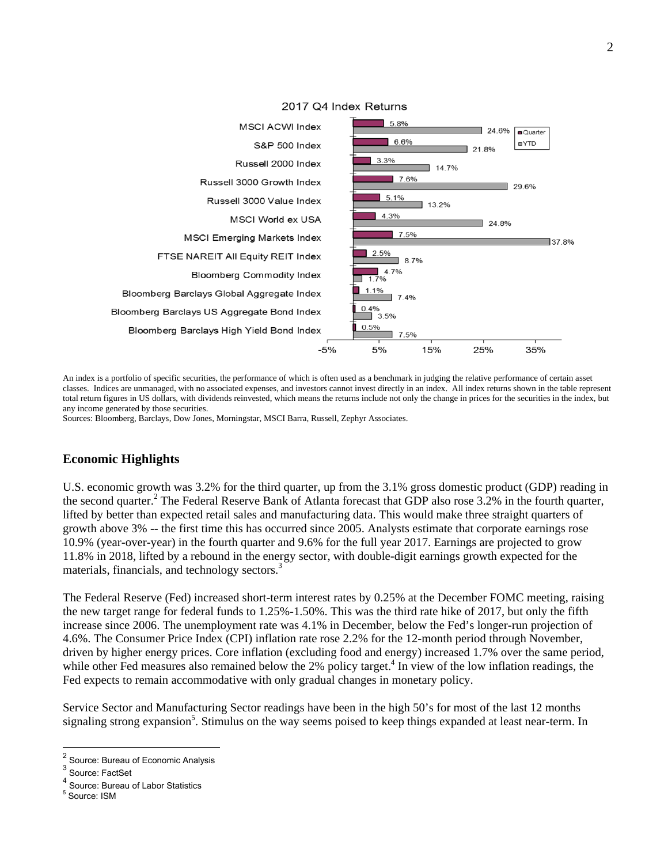

#### 2017 Q4 Index Returns

An index is a portfolio of specific securities, the performance of which is often used as a benchmark in judging the relative performance of certain asset classes. Indices are unmanaged, with no associated expenses, and investors cannot invest directly in an index. All index returns shown in the table represent total return figures in US dollars, with dividends reinvested, which means the returns include not only the change in prices for the securities in the index, but any income generated by those securities.

Sources: Bloomberg, Barclays, Dow Jones, Morningstar, MSCI Barra, Russell, Zephyr Associates.

### **Economic Highlights**

U.S. economic growth was 3.2% for the third quarter, up from the 3.1% gross domestic product (GDP) reading in the second quarter.<sup>2</sup> The Federal Reserve Bank of Atlanta forecast that GDP also rose 3.2% in the fourth quarter, lifted by better than expected retail sales and manufacturing data. This would make three straight quarters of growth above 3% -- the first time this has occurred since 2005. Analysts estimate that corporate earnings rose 10.9% (year-over-year) in the fourth quarter and 9.6% for the full year 2017. Earnings are projected to grow 11.8% in 2018, lifted by a rebound in the energy sector, with double-digit earnings growth expected for the materials, financials, and technology sectors.<sup>3</sup>

The Federal Reserve (Fed) increased short-term interest rates by 0.25% at the December FOMC meeting, raising the new target range for federal funds to 1.25%-1.50%. This was the third rate hike of 2017, but only the fifth increase since 2006. The unemployment rate was 4.1% in December, below the Fed's longer-run projection of 4.6%. The Consumer Price Index (CPI) inflation rate rose 2.2% for the 12-month period through November, driven by higher energy prices. Core inflation (excluding food and energy) increased 1.7% over the same period, while other Fed measures also remained below the  $2\%$  policy target.<sup>4</sup> In view of the low inflation readings, the Fed expects to remain accommodative with only gradual changes in monetary policy.

Service Sector and Manufacturing Sector readings have been in the high 50's for most of the last 12 months signaling strong expansion<sup>5</sup>. Stimulus on the way seems poised to keep things expanded at least near-term. In

 $\overline{a}$ 

<sup>2</sup> Source: Bureau of Economic Analysis

<sup>&</sup>lt;sup>3</sup> Source: FactSet

<sup>4</sup> Source: Bureau of Labor Statistics

<sup>5</sup> Source: ISM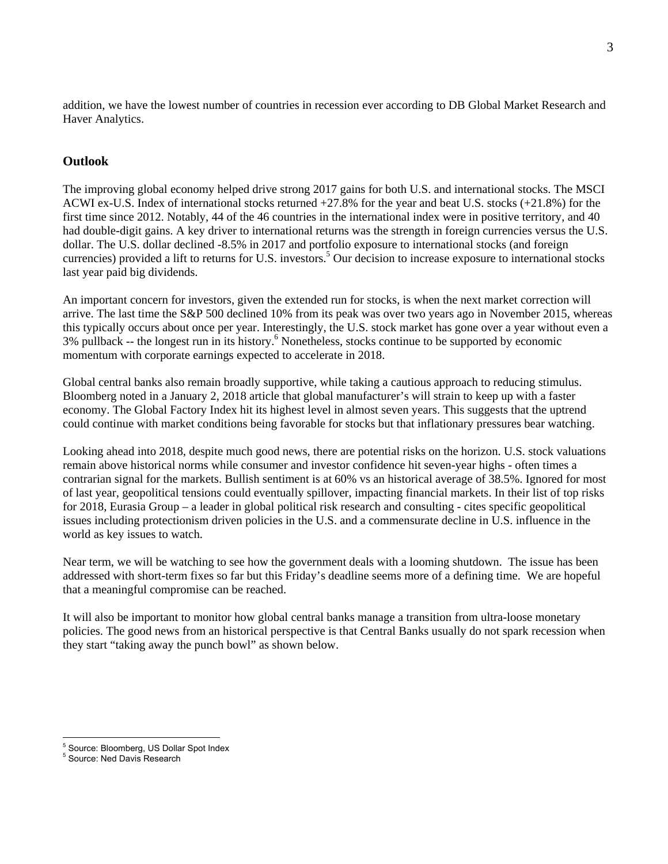addition, we have the lowest number of countries in recession ever according to DB Global Market Research and Haver Analytics.

## **Outlook**

The improving global economy helped drive strong 2017 gains for both U.S. and international stocks. The MSCI ACWI ex-U.S. Index of international stocks returned +27.8% for the year and beat U.S. stocks (+21.8%) for the first time since 2012. Notably, 44 of the 46 countries in the international index were in positive territory, and 40 had double-digit gains. A key driver to international returns was the strength in foreign currencies versus the U.S. dollar. The U.S. dollar declined -8.5% in 2017 and portfolio exposure to international stocks (and foreign currencies) provided a lift to returns for U.S. investors.<sup>5</sup> Our decision to increase exposure to international stocks last year paid big dividends.

An important concern for investors, given the extended run for stocks, is when the next market correction will arrive. The last time the S&P 500 declined 10% from its peak was over two years ago in November 2015, whereas this typically occurs about once per year. Interestingly, the U.S. stock market has gone over a year without even a 3% pullback -- the longest run in its history.<sup>6</sup> Nonetheless, stocks continue to be supported by economic momentum with corporate earnings expected to accelerate in 2018.

Global central banks also remain broadly supportive, while taking a cautious approach to reducing stimulus. Bloomberg noted in a January 2, 2018 article that global manufacturer's will strain to keep up with a faster economy. The Global Factory Index hit its highest level in almost seven years. This suggests that the uptrend could continue with market conditions being favorable for stocks but that inflationary pressures bear watching.

Looking ahead into 2018, despite much good news, there are potential risks on the horizon. U.S. stock valuations remain above historical norms while consumer and investor confidence hit seven-year highs - often times a contrarian signal for the markets. Bullish sentiment is at 60% vs an historical average of 38.5%. Ignored for most of last year, geopolitical tensions could eventually spillover, impacting financial markets. In their list of top risks for 2018, Eurasia Group – a leader in global political risk research and consulting - cites specific geopolitical issues including protectionism driven policies in the U.S. and a commensurate decline in U.S. influence in the world as key issues to watch.

Near term, we will be watching to see how the government deals with a looming shutdown. The issue has been addressed with short-term fixes so far but this Friday's deadline seems more of a defining time. We are hopeful that a meaningful compromise can be reached.

It will also be important to monitor how global central banks manage a transition from ultra-loose monetary policies. The good news from an historical perspective is that Central Banks usually do not spark recession when they start "taking away the punch bowl" as shown below.

 $\overline{a}$ <sup>5</sup> Source: Bloomberg, US Dollar Spot Index

<sup>5</sup> Source: Ned Davis Research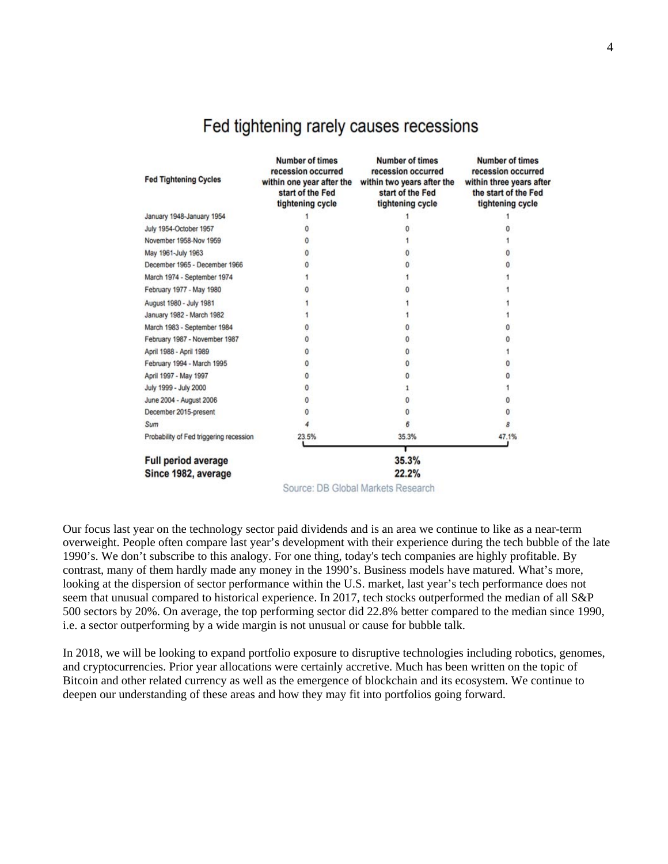|  |  |  |  |  | Fed tightening rarely causes recessions |
|--|--|--|--|--|-----------------------------------------|
|--|--|--|--|--|-----------------------------------------|

| <b>Fed Tightening Cycles</b>            | <b>Number of times</b><br>recession occurred<br>within one year after the<br>start of the Fed<br>tightening cycle | <b>Number of times</b><br>recession occurred<br>within two years after the<br>start of the Fed<br>tightening cycle | Number of times<br>recession occurred<br>within three years after<br>the start of the Fed<br>tightening cycle |  |  |
|-----------------------------------------|-------------------------------------------------------------------------------------------------------------------|--------------------------------------------------------------------------------------------------------------------|---------------------------------------------------------------------------------------------------------------|--|--|
| January 1948-January 1954               |                                                                                                                   |                                                                                                                    |                                                                                                               |  |  |
| July 1954-October 1957                  |                                                                                                                   |                                                                                                                    |                                                                                                               |  |  |
| November 1958-Nov 1959                  |                                                                                                                   |                                                                                                                    |                                                                                                               |  |  |
| May 1961-July 1963                      |                                                                                                                   |                                                                                                                    |                                                                                                               |  |  |
| December 1965 - December 1966           |                                                                                                                   |                                                                                                                    |                                                                                                               |  |  |
| March 1974 - September 1974             |                                                                                                                   |                                                                                                                    |                                                                                                               |  |  |
| February 1977 - May 1980                |                                                                                                                   |                                                                                                                    |                                                                                                               |  |  |
| August 1980 - July 1981                 |                                                                                                                   |                                                                                                                    |                                                                                                               |  |  |
| January 1982 - March 1982               |                                                                                                                   |                                                                                                                    |                                                                                                               |  |  |
| March 1983 - September 1984             |                                                                                                                   |                                                                                                                    |                                                                                                               |  |  |
| February 1987 - November 1987           |                                                                                                                   |                                                                                                                    |                                                                                                               |  |  |
| April 1988 - April 1989                 | n                                                                                                                 |                                                                                                                    |                                                                                                               |  |  |
| February 1994 - March 1995              | 0                                                                                                                 |                                                                                                                    |                                                                                                               |  |  |
| April 1997 - May 1997                   | n                                                                                                                 |                                                                                                                    |                                                                                                               |  |  |
| July 1999 - July 2000                   |                                                                                                                   |                                                                                                                    |                                                                                                               |  |  |
| June 2004 - August 2006                 |                                                                                                                   |                                                                                                                    |                                                                                                               |  |  |
| December 2015-present                   |                                                                                                                   |                                                                                                                    |                                                                                                               |  |  |
| Sum                                     |                                                                                                                   | 6                                                                                                                  |                                                                                                               |  |  |
| Probability of Fed triggering recession | 23.5%                                                                                                             | 35.3%                                                                                                              | 47.1%                                                                                                         |  |  |
| <b>Full period average</b>              | 35.3%                                                                                                             |                                                                                                                    |                                                                                                               |  |  |
| Since 1982, average                     |                                                                                                                   | 22.2%                                                                                                              |                                                                                                               |  |  |

Source: DB Global Markets Research

Our focus last year on the technology sector paid dividends and is an area we continue to like as a near-term overweight. People often compare last year's development with their experience during the tech bubble of the late 1990's. We don't subscribe to this analogy. For one thing, today's tech companies are highly profitable. By contrast, many of them hardly made any money in the 1990's. Business models have matured. What's more, looking at the dispersion of sector performance within the U.S. market, last year's tech performance does not seem that unusual compared to historical experience. In 2017, tech stocks outperformed the median of all S&P 500 sectors by 20%. On average, the top performing sector did 22.8% better compared to the median since 1990, i.e. a sector outperforming by a wide margin is not unusual or cause for bubble talk.

In 2018, we will be looking to expand portfolio exposure to disruptive technologies including robotics, genomes, and cryptocurrencies. Prior year allocations were certainly accretive. Much has been written on the topic of Bitcoin and other related currency as well as the emergence of blockchain and its ecosystem. We continue to deepen our understanding of these areas and how they may fit into portfolios going forward.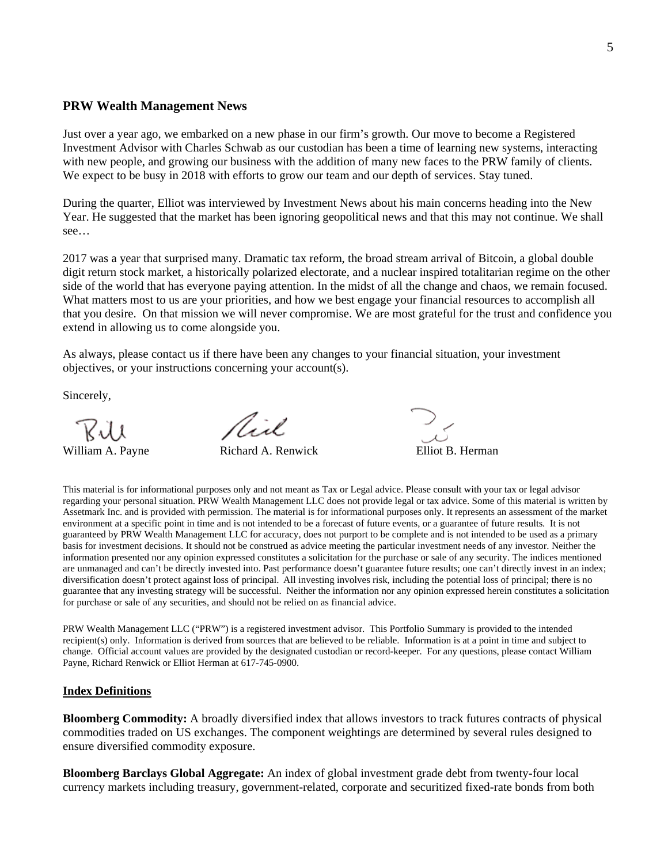#### **PRW Wealth Management News**

Just over a year ago, we embarked on a new phase in our firm's growth. Our move to become a Registered Investment Advisor with Charles Schwab as our custodian has been a time of learning new systems, interacting with new people, and growing our business with the addition of many new faces to the PRW family of clients. We expect to be busy in 2018 with efforts to grow our team and our depth of services. Stay tuned.

During the quarter, Elliot was interviewed by Investment News about his main concerns heading into the New Year. He suggested that the market has been ignoring geopolitical news and that this may not continue. We shall see…

2017 was a year that surprised many. Dramatic tax reform, the broad stream arrival of Bitcoin, a global double digit return stock market, a historically polarized electorate, and a nuclear inspired totalitarian regime on the other side of the world that has everyone paying attention. In the midst of all the change and chaos, we remain focused. What matters most to us are your priorities, and how we best engage your financial resources to accomplish all that you desire. On that mission we will never compromise. We are most grateful for the trust and confidence you extend in allowing us to come alongside you.

As always, please contact us if there have been any changes to your financial situation, your investment objectives, or your instructions concerning your account(s).

Sincerely,

Rull<br>William A. Payne Richard A. Renwick Elliot B. Herman

Rix.

This material is for informational purposes only and not meant as Tax or Legal advice. Please consult with your tax or legal advisor regarding your personal situation. PRW Wealth Management LLC does not provide legal or tax advice. Some of this material is written by Assetmark Inc. and is provided with permission. The material is for informational purposes only. It represents an assessment of the market environment at a specific point in time and is not intended to be a forecast of future events, or a guarantee of future results. It is not guaranteed by PRW Wealth Management LLC for accuracy, does not purport to be complete and is not intended to be used as a primary basis for investment decisions. It should not be construed as advice meeting the particular investment needs of any investor. Neither the information presented nor any opinion expressed constitutes a solicitation for the purchase or sale of any security. The indices mentioned are unmanaged and can't be directly invested into. Past performance doesn't guarantee future results; one can't directly invest in an index; diversification doesn't protect against loss of principal. All investing involves risk, including the potential loss of principal; there is no guarantee that any investing strategy will be successful. Neither the information nor any opinion expressed herein constitutes a solicitation for purchase or sale of any securities, and should not be relied on as financial advice.

PRW Wealth Management LLC ("PRW") is a registered investment advisor. This Portfolio Summary is provided to the intended recipient(s) only. Information is derived from sources that are believed to be reliable. Information is at a point in time and subject to change. Official account values are provided by the designated custodian or record-keeper. For any questions, please contact William Payne, Richard Renwick or Elliot Herman at 617-745-0900.

#### **Index Definitions**

**Bloomberg Commodity:** A broadly diversified index that allows investors to track futures contracts of physical commodities traded on US exchanges. The component weightings are determined by several rules designed to ensure diversified commodity exposure.

**Bloomberg Barclays Global Aggregate:** An index of global investment grade debt from twenty-four local currency markets including treasury, government-related, corporate and securitized fixed-rate bonds from both